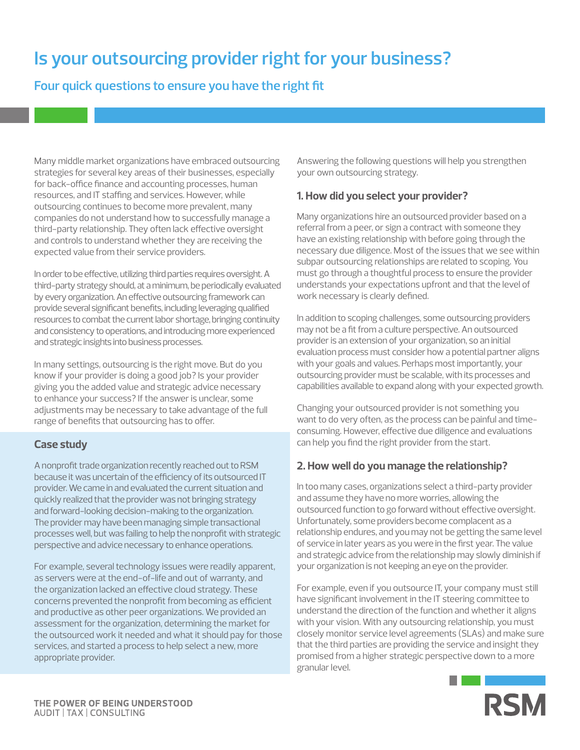# **Is your outsourcing provider right for your business?**

## **Four quick questions to ensure you have the right fit**

Many middle market organizations have embraced outsourcing strategies for several key areas of their businesses, especially for back-office finance and accounting processes, human resources, and IT staffing and services. However, while outsourcing continues to become more prevalent, many companies do not understand how to successfully manage a third-party relationship. They often lack effective oversight and controls to understand whether they are receiving the expected value from their service providers.

In order to be effective, utilizing third parties requires oversight. A third-party strategy should, at a minimum, be periodically evaluated by every organization. An effective outsourcing framework can provide several significant benefits, including leveraging qualified resources to combat the current labor shortage, bringing continuity and consistency to operations, and introducing more experienced and strategic insights into business processes.

In many settings, outsourcing is the right move. But do you know if your provider is doing a good job? Is your provider giving you the added value and strategic advice necessary to enhance your success? If the answer is unclear, some adjustments may be necessary to take advantage of the full range of benefits that outsourcing has to offer.

## **Case study**

A nonprofit trade organization recently reached out to RSM because it was uncertain of the efficiency of its outsourced IT provider. We came in and evaluated the current situation and quickly realized that the provider was not bringing strategy and forward-looking decision-making to the organization. The provider may have been managing simple transactional processes well, but was failing to help the nonprofit with strategic perspective and advice necessary to enhance operations.

For example, several technology issues were readily apparent, as servers were at the end-of-life and out of warranty, and the organization lacked an effective cloud strategy. These concerns prevented the nonprofit from becoming as efficient and productive as other peer organizations. We provided an assessment for the organization, determining the market for the outsourced work it needed and what it should pay for those services, and started a process to help select a new, more appropriate provider.

Answering the following questions will help you strengthen your own outsourcing strategy.

## **1. How did you select your provider?**

Many organizations hire an outsourced provider based on a referral from a peer, or sign a contract with someone they have an existing relationship with before going through the necessary due diligence. Most of the issues that we see within subpar outsourcing relationships are related to scoping. You must go through a thoughtful process to ensure the provider understands your expectations upfront and that the level of work necessary is clearly defined.

In addition to scoping challenges, some outsourcing providers may not be a fit from a culture perspective. An outsourced provider is an extension of your organization, so an initial evaluation process must consider how a potential partner aligns with your goals and values. Perhaps most importantly, your outsourcing provider must be scalable, with its processes and capabilities available to expand along with your expected growth.

Changing your outsourced provider is not something you want to do very often, as the process can be painful and timeconsuming. However, effective due diligence and evaluations can help you find the right provider from the start.

## **2. How well do you manage the relationship?**

In too many cases, organizations select a third-party provider and assume they have no more worries, allowing the outsourced function to go forward without effective oversight. Unfortunately, some providers become complacent as a relationship endures, and you may not be getting the same level of service in later years as you were in the first year. The value and strategic advice from the relationship may slowly diminish if your organization is not keeping an eye on the provider.

For example, even if you outsource IT, your company must still have significant involvement in the IT steering committee to understand the direction of the function and whether it aligns with your vision. With any outsourcing relationship, you must closely monitor service level agreements (SLAs) and make sure that the third parties are providing the service and insight they promised from a higher strategic perspective down to a more granular level.